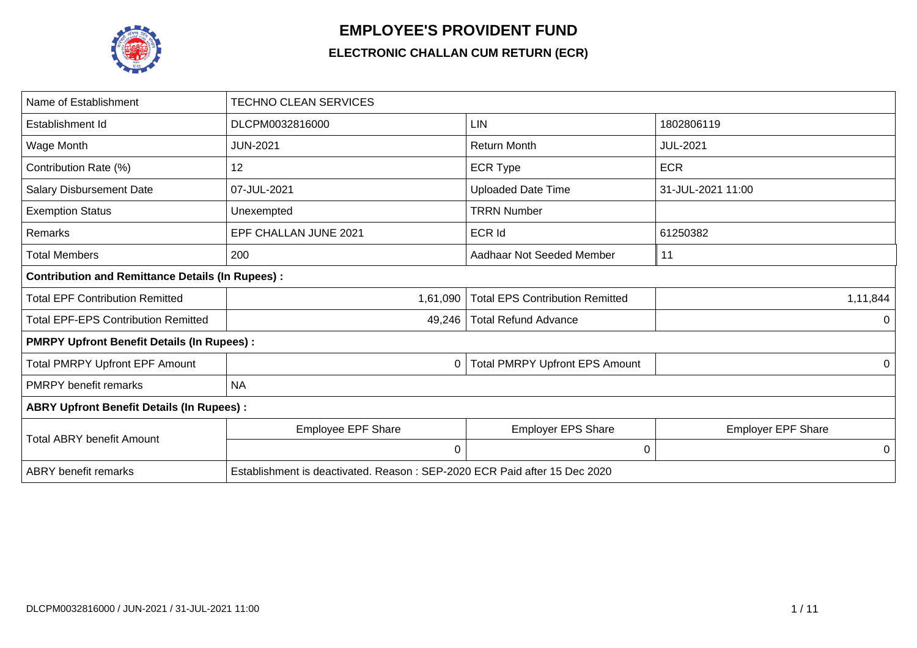

## **EMPLOYEE'S PROVIDENT FUND**

## **ELECTRONIC CHALLAN CUM RETURN (ECR)**

| Name of Establishment                                   | <b>TECHNO CLEAN SERVICES</b>                                              |                                        |                           |
|---------------------------------------------------------|---------------------------------------------------------------------------|----------------------------------------|---------------------------|
| Establishment Id                                        | DLCPM0032816000                                                           | <b>LIN</b>                             | 1802806119                |
| Wage Month                                              | <b>JUN-2021</b>                                                           | <b>Return Month</b>                    | <b>JUL-2021</b>           |
| Contribution Rate (%)                                   | 12                                                                        | <b>ECR Type</b>                        | <b>ECR</b>                |
| <b>Salary Disbursement Date</b>                         | 07-JUL-2021                                                               | <b>Uploaded Date Time</b>              | 31-JUL-2021 11:00         |
| <b>Exemption Status</b>                                 | Unexempted                                                                | <b>TRRN Number</b>                     |                           |
| Remarks                                                 | EPF CHALLAN JUNE 2021                                                     | <b>ECR Id</b>                          | 61250382                  |
| <b>Total Members</b>                                    | 200                                                                       | Aadhaar Not Seeded Member              | 11                        |
| <b>Contribution and Remittance Details (In Rupees):</b> |                                                                           |                                        |                           |
| <b>Total EPF Contribution Remitted</b>                  | 1,61,090                                                                  | <b>Total EPS Contribution Remitted</b> | 1,11,844                  |
| <b>Total EPF-EPS Contribution Remitted</b>              | 49,246                                                                    | <b>Total Refund Advance</b>            | 0                         |
| <b>PMRPY Upfront Benefit Details (In Rupees):</b>       |                                                                           |                                        |                           |
| <b>Total PMRPY Upfront EPF Amount</b>                   | 0                                                                         | <b>Total PMRPY Upfront EPS Amount</b>  | 0                         |
| <b>PMRPY</b> benefit remarks                            | <b>NA</b>                                                                 |                                        |                           |
| <b>ABRY Upfront Benefit Details (In Rupees):</b>        |                                                                           |                                        |                           |
| <b>Total ABRY benefit Amount</b>                        | Employee EPF Share                                                        | <b>Employer EPS Share</b>              | <b>Employer EPF Share</b> |
|                                                         | $\mathbf 0$                                                               | 0                                      | 0                         |
| <b>ABRY</b> benefit remarks                             | Establishment is deactivated. Reason: SEP-2020 ECR Paid after 15 Dec 2020 |                                        |                           |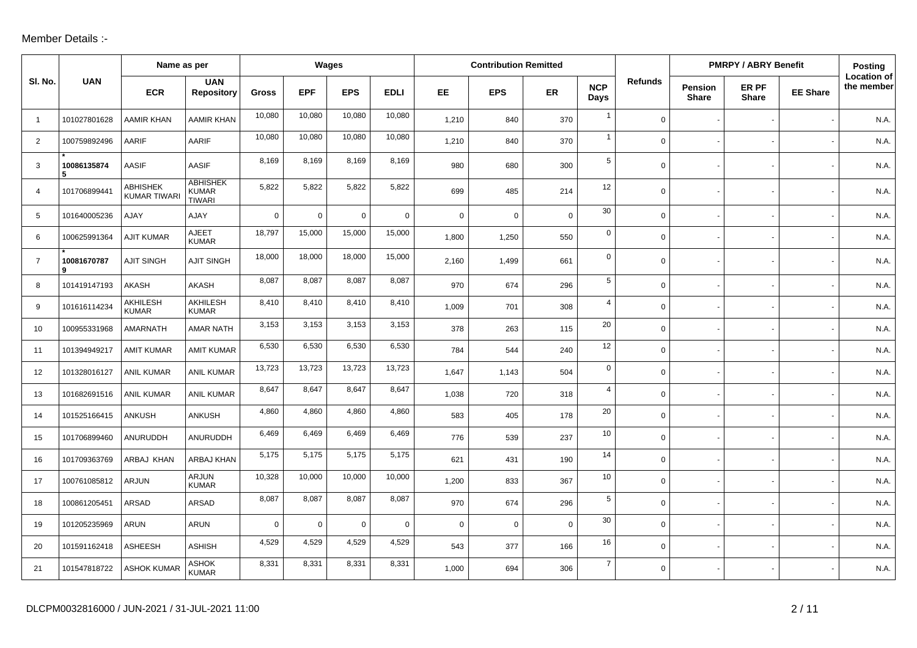## Member Details :-

|                |                  | Name as per                     |                                                  |                | Wages       |             |             |             | <b>Contribution Remitted</b> |             |                    |                |                                | <b>PMRPY / ABRY Benefit</b> |                 | Posting                          |
|----------------|------------------|---------------------------------|--------------------------------------------------|----------------|-------------|-------------|-------------|-------------|------------------------------|-------------|--------------------|----------------|--------------------------------|-----------------------------|-----------------|----------------------------------|
| SI. No.        | <b>UAN</b>       | <b>ECR</b>                      | <b>UAN</b><br><b>Repository</b>                  | <b>Gross</b>   | <b>EPF</b>  | <b>EPS</b>  | <b>EDLI</b> | EE.         | <b>EPS</b>                   | ER          | <b>NCP</b><br>Days | <b>Refunds</b> | <b>Pension</b><br><b>Share</b> | ER PF<br><b>Share</b>       | <b>EE Share</b> | <b>Location of</b><br>the member |
| $\overline{1}$ | 101027801628     | <b>AAMIR KHAN</b>               | AAMIR KHAN                                       | 10,080         | 10,080      | 10,080      | 10,080      | 1,210       | 840                          | 370         | $\mathbf{1}$       | $\mathbf 0$    |                                |                             |                 | N.A.                             |
| $\overline{2}$ | 100759892496     | AARIF                           | AARIF                                            | 10,080         | 10,080      | 10,080      | 10,080      | 1,210       | 840                          | 370         | $\mathbf{1}$       | $\mathbf 0$    |                                |                             |                 | N.A.                             |
| 3              | 10086135874<br>5 | <b>AASIF</b>                    | <b>AASIF</b>                                     | 8,169          | 8,169       | 8,169       | 8,169       | 980         | 680                          | 300         | 5                  | $\mathbf 0$    |                                |                             |                 | N.A.                             |
| $\overline{4}$ | 101706899441     | ABHISHEK<br><b>KUMAR TIWARI</b> | <b>ABHISHEK</b><br><b>KUMAR</b><br><b>TIWARI</b> | 5,822          | 5,822       | 5,822       | 5,822       | 699         | 485                          | 214         | 12                 | $\mathbf 0$    |                                |                             |                 | N.A.                             |
| 5              | 101640005236     | AJAY                            | AJAY                                             | $\overline{0}$ | $\mathbf 0$ | $\mathbf 0$ | $\mathbf 0$ | $\mathbf 0$ | $\mathbf 0$                  | $\mathbf 0$ | 30                 | $\mathbf 0$    |                                |                             |                 | N.A.                             |
| 6              | 100625991364     | <b>AJIT KUMAR</b>               | <b>AJEET</b><br><b>KUMAR</b>                     | 18,797         | 15,000      | 15,000      | 15,000      | 1,800       | 1,250                        | 550         | $\mathbf 0$        | $\mathbf 0$    |                                |                             |                 | N.A.                             |
| $\overline{7}$ | 10081670787<br>9 | <b>AJIT SINGH</b>               | <b>AJIT SINGH</b>                                | 18,000         | 18,000      | 18,000      | 15,000      | 2,160       | 1,499                        | 661         | $\mathbf 0$        | $\mathbf 0$    |                                |                             |                 | N.A.                             |
| 8              | 101419147193     | <b>AKASH</b>                    | <b>AKASH</b>                                     | 8,087          | 8,087       | 8,087       | 8,087       | 970         | 674                          | 296         | 5                  | $\mathbf 0$    |                                |                             |                 | N.A.                             |
| 9              | 101616114234     | AKHILESH<br><b>KUMAR</b>        | AKHILESH<br><b>KUMAR</b>                         | 8,410          | 8,410       | 8,410       | 8,410       | 1,009       | 701                          | 308         | $\overline{4}$     | $\mathbf 0$    |                                |                             |                 | N.A.                             |
| 10             | 100955331968     | AMARNATH                        | AMAR NATH                                        | 3,153          | 3,153       | 3,153       | 3,153       | 378         | 263                          | 115         | 20                 | $\mathbf 0$    |                                |                             |                 | N.A.                             |
| 11             | 101394949217     | <b>AMIT KUMAR</b>               | <b>AMIT KUMAR</b>                                | 6,530          | 6,530       | 6,530       | 6,530       | 784         | 544                          | 240         | 12                 | $\mathbf 0$    |                                |                             |                 | N.A.                             |
| 12             | 101328016127     | <b>ANIL KUMAR</b>               | <b>ANIL KUMAR</b>                                | 13,723         | 13,723      | 13,723      | 13,723      | 1,647       | 1,143                        | 504         | $\mathbf 0$        | $\mathsf{O}$   |                                |                             |                 | N.A.                             |
| 13             | 101682691516     | <b>ANIL KUMAR</b>               | <b>ANIL KUMAR</b>                                | 8,647          | 8,647       | 8,647       | 8,647       | 1,038       | 720                          | 318         | $\overline{4}$     | $\mathbf 0$    |                                |                             |                 | N.A.                             |
| 14             | 101525166415     | ANKUSH                          | ANKUSH                                           | 4,860          | 4,860       | 4,860       | 4,860       | 583         | 405                          | 178         | 20                 | $\mathbf 0$    |                                |                             |                 | N.A.                             |
| 15             | 101706899460     | ANURUDDH                        | ANURUDDH                                         | 6,469          | 6,469       | 6,469       | 6,469       | 776         | 539                          | 237         | 10                 | $\mathbf 0$    |                                |                             |                 | N.A.                             |
| 16             | 101709363769     | ARBAJ KHAN                      | <b>ARBAJ KHAN</b>                                | 5,175          | 5,175       | 5,175       | 5,175       | 621         | 431                          | 190         | 14                 | $\mathbf 0$    |                                |                             |                 | N.A.                             |
| 17             | 100761085812     | ARJUN                           | <b>ARJUN</b><br><b>KUMAR</b>                     | 10,328         | 10,000      | 10,000      | 10,000      | 1,200       | 833                          | 367         | 10                 | $\mathbf 0$    |                                |                             |                 | N.A.                             |
| 18             | 100861205451     | <b>ARSAD</b>                    | <b>ARSAD</b>                                     | 8,087          | 8,087       | 8,087       | 8,087       | 970         | 674                          | 296         | 5                  | $\mathbf 0$    |                                |                             |                 | N.A.                             |
| 19             | 101205235969     | ARUN                            | ARUN                                             | $\mathbf 0$    | $\mathbf 0$ | $\mathbf 0$ | $\mathbf 0$ | $\mathbf 0$ | $\mathbf 0$                  | $\mathbf 0$ | 30                 | $\mathbf 0$    |                                |                             |                 | N.A.                             |
| 20             | 101591162418     | ASHEESH                         | <b>ASHISH</b>                                    | 4,529          | 4,529       | 4,529       | 4,529       | 543         | 377                          | 166         | 16                 | $\mathbf 0$    |                                |                             |                 | N.A.                             |
| 21             | 101547818722     | <b>ASHOK KUMAR</b>              | <b>ASHOK</b><br><b>KUMAR</b>                     | 8,331          | 8,331       | 8,331       | 8,331       | 1,000       | 694                          | 306         | $\overline{7}$     | $\mathbf 0$    |                                |                             |                 | N.A.                             |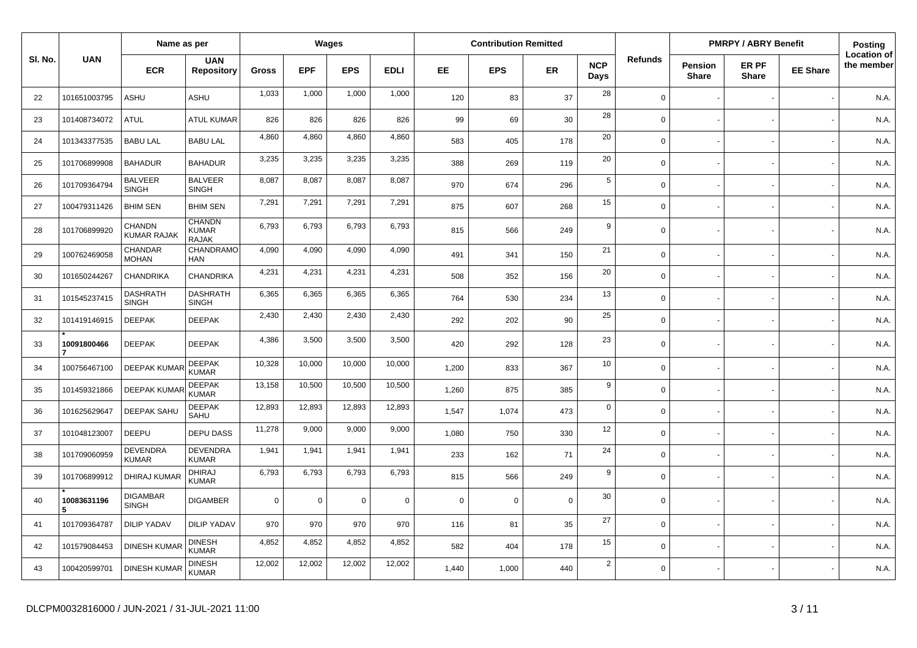|         |                  | Name as per                     |                                               |              | Wages      |                |             |             | <b>Contribution Remitted</b> |             |                    |                |                                | <b>PMRPY / ABRY Benefit</b> |                 | Posting                          |
|---------|------------------|---------------------------------|-----------------------------------------------|--------------|------------|----------------|-------------|-------------|------------------------------|-------------|--------------------|----------------|--------------------------------|-----------------------------|-----------------|----------------------------------|
| SI. No. | <b>UAN</b>       | <b>ECR</b>                      | <b>UAN</b><br><b>Repository</b>               | <b>Gross</b> | <b>EPF</b> | <b>EPS</b>     | <b>EDLI</b> | EE.         | <b>EPS</b>                   | <b>ER</b>   | <b>NCP</b><br>Days | <b>Refunds</b> | <b>Pension</b><br><b>Share</b> | ER PF<br><b>Share</b>       | <b>EE Share</b> | <b>Location of</b><br>the member |
| 22      | 101651003795     | ASHU                            | <b>ASHU</b>                                   | 1,033        | 1,000      | 1,000          | 1,000       | 120         | 83                           | 37          | 28                 | $\Omega$       |                                |                             |                 | N.A.                             |
| 23      | 101408734072     | <b>ATUL</b>                     | <b>ATUL KUMAR</b>                             | 826          | 826        | 826            | 826         | 99          | 69                           | 30          | 28                 | $\Omega$       |                                |                             |                 | N.A.                             |
| 24      | 101343377535     | <b>BABU LAL</b>                 | <b>BABU LAL</b>                               | 4,860        | 4,860      | 4,860          | 4,860       | 583         | 405                          | 178         | 20                 | $\Omega$       |                                |                             |                 | N.A.                             |
| 25      | 101706899908     | <b>BAHADUR</b>                  | <b>BAHADUR</b>                                | 3,235        | 3,235      | 3,235          | 3,235       | 388         | 269                          | 119         | 20                 | $\mathbf 0$    |                                |                             |                 | N.A.                             |
| 26      | 101709364794     | <b>BALVEER</b><br><b>SINGH</b>  | <b>BALVEER</b><br><b>SINGH</b>                | 8,087        | 8,087      | 8,087          | 8,087       | 970         | 674                          | 296         | 5                  | $\mathbf 0$    |                                |                             |                 | N.A.                             |
| 27      | 100479311426     | <b>BHIM SEN</b>                 | <b>BHIM SEN</b>                               | 7,291        | 7,291      | 7,291          | 7,291       | 875         | 607                          | 268         | 15                 | $\mathbf 0$    |                                |                             |                 | N.A.                             |
| 28      | 101706899920     | CHANDN<br><b>KUMAR RAJAK</b>    | <b>CHANDN</b><br><b>KUMAR</b><br><b>RAJAK</b> | 6,793        | 6,793      | 6,793          | 6,793       | 815         | 566                          | 249         | 9                  | $\Omega$       |                                |                             |                 | N.A.                             |
| 29      | 100762469058     | CHANDAR<br><b>MOHAN</b>         | CHANDRAMO<br><b>HAN</b>                       | 4,090        | 4.090      | 4,090          | 4,090       | 491         | 341                          | 150         | 21                 | $\Omega$       |                                |                             |                 | N.A.                             |
| 30      | 101650244267     | CHANDRIKA                       | <b>CHANDRIKA</b>                              | 4,231        | 4,231      | 4,231          | 4,231       | 508         | 352                          | 156         | 20                 | $\Omega$       |                                |                             |                 | N.A.                             |
| 31      | 101545237415     | <b>DASHRATH</b><br><b>SINGH</b> | <b>DASHRATH</b><br><b>SINGH</b>               | 6,365        | 6,365      | 6,365          | 6,365       | 764         | 530                          | 234         | 13                 | $\Omega$       |                                |                             |                 | N.A.                             |
| 32      | 101419146915     | <b>DEEPAK</b>                   | <b>DEEPAK</b>                                 | 2,430        | 2,430      | 2,430          | 2,430       | 292         | 202                          | 90          | 25                 | $\mathbf 0$    |                                |                             |                 | N.A.                             |
| 33      | 10091800466      | <b>DEEPAK</b>                   | <b>DEEPAK</b>                                 | 4,386        | 3,500      | 3,500          | 3,500       | 420         | 292                          | 128         | 23                 | $\Omega$       |                                |                             |                 | N.A.                             |
| 34      | 100756467100     | <b>DEEPAK KUMAR</b>             | <b>DEEPAK</b><br><b>KUMAR</b>                 | 10,328       | 10,000     | 10,000         | 10,000      | 1.200       | 833                          | 367         | 10                 | $\mathbf 0$    |                                |                             |                 | N.A.                             |
| 35      | 101459321866     | <b>DEEPAK KUMA</b>              | <b>DEEPAK</b><br><b>KUMAR</b>                 | 13,158       | 10,500     | 10,500         | 10,500      | 1,260       | 875                          | 385         | 9                  | $\mathbf 0$    |                                |                             |                 | N.A.                             |
| 36      | 101625629647     | <b>DEEPAK SAHU</b>              | <b>DEEPAK</b><br>SAHU                         | 12,893       | 12,893     | 12,893         | 12,893      | 1,547       | 1,074                        | 473         | $\mathbf 0$        | $\mathbf 0$    |                                |                             |                 | N.A.                             |
| 37      | 101048123007     | <b>DEEPU</b>                    | <b>DEPU DASS</b>                              | 11,278       | 9,000      | 9,000          | 9,000       | 1,080       | 750                          | 330         | 12                 | $\mathbf 0$    |                                |                             |                 | N.A.                             |
| 38      | 101709060959     | <b>DEVENDRA</b><br><b>KUMAR</b> | <b>DEVENDRA</b><br><b>KUMAR</b>               | 1,941        | 1.941      | 1,941          | 1,941       | 233         | 162                          | 71          | 24                 | $\Omega$       |                                |                             |                 | N.A.                             |
| 39      | 101706899912     | <b>DHIRAJ KUMAR</b>             | <b>DHIRAJ</b><br><b>KUMAR</b>                 | 6,793        | 6,793      | 6,793          | 6,793       | 815         | 566                          | 249         | 9                  | $\Omega$       |                                |                             |                 | N.A.                             |
| 40      | 10083631196<br>5 | DIGAMBAR<br><b>SINGH</b>        | <b>DIGAMBER</b>                               | $\mathbf 0$  | $\Omega$   | $\overline{0}$ | $\mathbf 0$ | $\mathbf 0$ | $\mathbf 0$                  | $\mathbf 0$ | 30                 | $\mathbf 0$    |                                |                             |                 | N.A.                             |
| 41      | 101709364787     | <b>DILIP YADAV</b>              | <b>DILIP YADAV</b>                            | 970          | 970        | 970            | 970         | 116         | 81                           | 35          | 27                 | $\Omega$       |                                |                             |                 | N.A.                             |
| 42      | 101579084453     | <b>DINESH KUMAR</b>             | <b>DINESH</b><br><b>KUMAR</b>                 | 4,852        | 4,852      | 4,852          | 4,852       | 582         | 404                          | 178         | 15                 | $\Omega$       |                                |                             |                 | N.A.                             |
| 43      | 100420599701     | <b>DINESH KUMAR</b>             | <b>DINESH</b><br><b>KUMAR</b>                 | 12,002       | 12,002     | 12,002         | 12,002      | 1,440       | 1,000                        | 440         | $\overline{2}$     | $\Omega$       |                                |                             |                 | N.A.                             |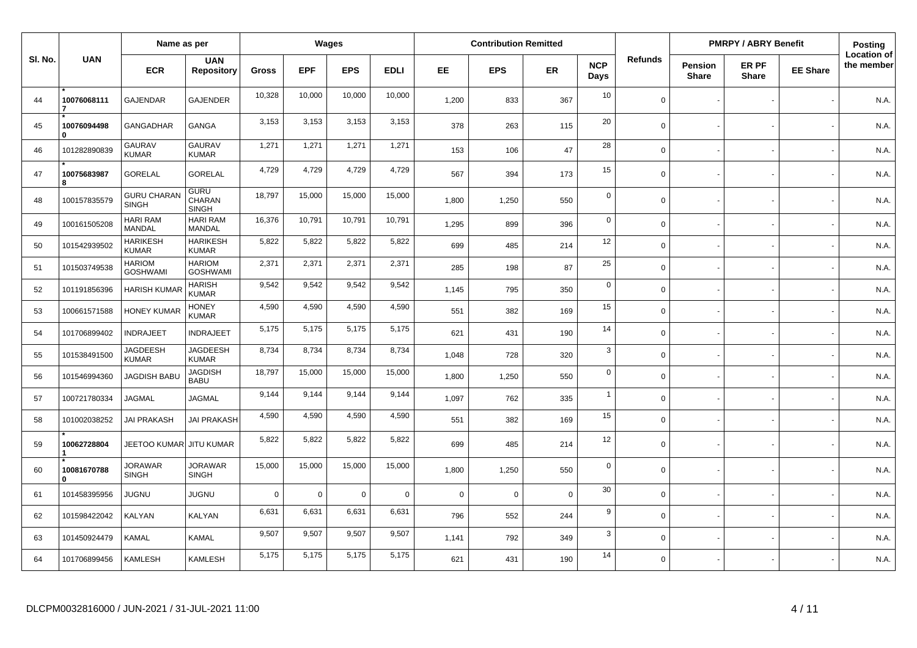|         |                             | Name as per                        |                                       |              |            | Wages          |             |             | <b>Contribution Remitted</b> |             |                    |                |                                | <b>PMRPY / ABRY Benefit</b> |                 | <b>Posting</b>                   |
|---------|-----------------------------|------------------------------------|---------------------------------------|--------------|------------|----------------|-------------|-------------|------------------------------|-------------|--------------------|----------------|--------------------------------|-----------------------------|-----------------|----------------------------------|
| SI. No. | <b>UAN</b>                  | <b>ECR</b>                         | <b>UAN</b><br><b>Repository</b>       | <b>Gross</b> | <b>EPF</b> | <b>EPS</b>     | <b>EDLI</b> | EE          | <b>EPS</b>                   | ER          | <b>NCP</b><br>Days | <b>Refunds</b> | <b>Pension</b><br><b>Share</b> | ER PF<br><b>Share</b>       | <b>EE Share</b> | <b>Location of</b><br>the member |
| 44      | 10076068111                 | <b>GAJENDAR</b>                    | <b>GAJENDER</b>                       | 10,328       | 10,000     | 10,000         | 10,000      | 1.200       | 833                          | 367         | 10                 | $\Omega$       |                                |                             |                 | N.A.                             |
| 45      | 10076094498<br>U            | <b>GANGADHAR</b>                   | GANGA                                 | 3,153        | 3,153      | 3,153          | 3,153       | 378         | 263                          | 115         | 20                 | $\Omega$       |                                |                             |                 | N.A.                             |
| 46      | 101282890839                | <b>GAURAV</b><br><b>KUMAR</b>      | <b>GAURAV</b><br><b>KUMAR</b>         | 1,271        | 1,271      | 1,271          | 1,271       | 153         | 106                          | 47          | 28                 | $\Omega$       |                                |                             |                 | N.A.                             |
| 47      | 10075683987<br>8            | <b>GORELAL</b>                     | <b>GORELAL</b>                        | 4,729        | 4,729      | 4,729          | 4,729       | 567         | 394                          | 173         | 15                 | $\Omega$       |                                |                             |                 | N.A.                             |
| 48      | 100157835579                | <b>GURU CHARAN</b><br><b>SINGH</b> | <b>GURU</b><br>CHARAN<br><b>SINGH</b> | 18,797       | 15,000     | 15,000         | 15,000      | 1,800       | 1,250                        | 550         | $\mathbf 0$        | $\Omega$       |                                |                             |                 | N.A.                             |
| 49      | 100161505208                | <b>HARI RAM</b><br><b>MANDAL</b>   | <b>HARI RAM</b><br><b>MANDAL</b>      | 16,376       | 10,791     | 10,791         | 10,791      | 1,295       | 899                          | 396         | $\mathbf 0$        | $\Omega$       |                                |                             |                 | N.A.                             |
| 50      | 101542939502                | <b>HARIKESH</b><br><b>KUMAR</b>    | <b>HARIKESH</b><br><b>KUMAR</b>       | 5,822        | 5,822      | 5,822          | 5,822       | 699         | 485                          | 214         | 12                 | $\Omega$       |                                |                             |                 | N.A.                             |
| 51      | 101503749538                | <b>HARIOM</b><br><b>GOSHWAMI</b>   | <b>HARIOM</b><br><b>GOSHWAMI</b>      | 2,371        | 2,371      | 2,371          | 2,371       | 285         | 198                          | 87          | 25                 | $\mathbf 0$    |                                |                             |                 | N.A.                             |
| 52      | 101191856396                | <b>HARISH KUMA</b>                 | HARISH<br>KUMAR                       | 9,542        | 9,542      | 9,542          | 9,542       | 1.145       | 795                          | 350         | $\mathbf 0$        | $\Omega$       |                                |                             |                 | N.A.                             |
| 53      | 100661571588                | <b>HONEY KUMAF</b>                 | <b>HONEY</b><br>KUMAR                 | 4,590        | 4,590      | 4,590          | 4,590       | 551         | 382                          | 169         | 15                 | $\mathbf 0$    |                                |                             |                 | N.A.                             |
| 54      | 101706899402                | <b>INDRAJEET</b>                   | <b>INDRAJEET</b>                      | 5,175        | 5,175      | 5,175          | 5,175       | 621         | 431                          | 190         | 14                 | $\Omega$       |                                |                             |                 | N.A.                             |
| 55      | 101538491500                | <b>JAGDEESH</b><br><b>KUMAR</b>    | <b>JAGDEESH</b><br><b>KUMAR</b>       | 8,734        | 8,734      | 8,734          | 8,734       | 1,048       | 728                          | 320         | 3                  | $\Omega$       |                                |                             |                 | N.A.                             |
| 56      | 101546994360                | <b>JAGDISH BABL</b>                | <b>JAGDISH</b><br><b>BABU</b>         | 18,797       | 15,000     | 15,000         | 15,000      | 1,800       | 1,250                        | 550         | $\mathbf 0$        | $\Omega$       |                                |                             |                 | N.A.                             |
| 57      | 100721780334                | <b>JAGMAL</b>                      | <b>JAGMAL</b>                         | 9,144        | 9.144      | 9,144          | 9,144       | 1,097       | 762                          | 335         | $\overline{1}$     | $\Omega$       |                                |                             |                 | N.A.                             |
| 58      | 101002038252                | <b>JAI PRAKASH</b>                 | <b>JAI PRAKASH</b>                    | 4,590        | 4.590      | 4,590          | 4,590       | 551         | 382                          | 169         | 15                 | $\Omega$       |                                |                             |                 | N.A.                             |
| 59      | 10062728804                 | JEETOO KUMAR                       | <b>JITU KUMAR</b>                     | 5,822        | 5,822      | 5,822          | 5,822       | 699         | 485                          | 214         | 12                 | $\mathbf 0$    |                                |                             |                 | N.A.                             |
| 60      | 10081670788<br>$\mathbf{0}$ | <b>JORAWAR</b><br><b>SINGH</b>     | <b>JORAWAR</b><br><b>SINGH</b>        | 15,000       | 15,000     | 15,000         | 15,000      | 1,800       | 1,250                        | 550         | $\mathbf 0$        | $\mathbf 0$    |                                |                             |                 | N.A.                             |
| 61      | 101458395956                | JUGNU                              | JUGNU                                 | $\Omega$     | $\Omega$   | $\overline{0}$ | $\Omega$    | $\mathbf 0$ | $\Omega$                     | $\mathbf 0$ | 30                 | $\Omega$       |                                |                             |                 | N.A.                             |
| 62      | 101598422042                | KALYAN                             | KALYAN                                | 6,631        | 6,631      | 6,631          | 6,631       | 796         | 552                          | 244         | 9                  | $\Omega$       |                                |                             |                 | N.A.                             |
| 63      | 101450924479                | <b>KAMAL</b>                       | KAMAL                                 | 9,507        | 9,507      | 9,507          | 9,507       | 1,141       | 792                          | 349         | $\mathbf{3}$       | $\Omega$       |                                |                             |                 | N.A.                             |
| 64      | 101706899456                | KAMLESH                            | KAMLESH                               | 5,175        | 5,175      | 5,175          | 5,175       | 621         | 431                          | 190         | 14                 | $\Omega$       |                                |                             |                 | N.A.                             |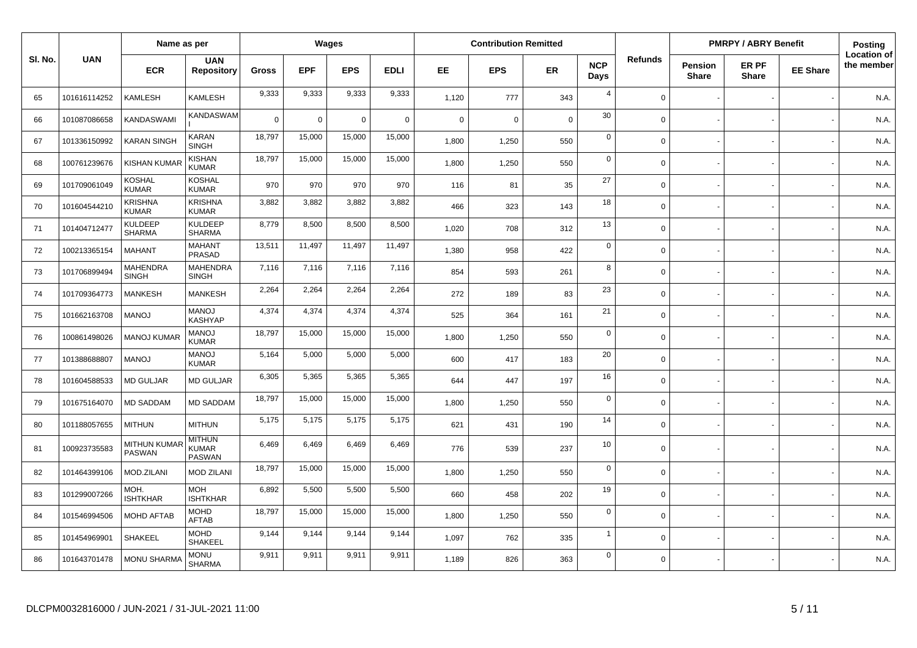|         |              | Name as per                     |                                                |              |            | Wages          |             |             | <b>Contribution Remitted</b> |             |                    |                |                         | <b>PMRPY / ABRY Benefit</b> |                 | <b>Posting</b>                   |
|---------|--------------|---------------------------------|------------------------------------------------|--------------|------------|----------------|-------------|-------------|------------------------------|-------------|--------------------|----------------|-------------------------|-----------------------------|-----------------|----------------------------------|
| SI. No. | <b>UAN</b>   | <b>ECR</b>                      | <b>UAN</b><br><b>Repository</b>                | <b>Gross</b> | <b>EPF</b> | <b>EPS</b>     | <b>EDLI</b> | EE          | <b>EPS</b>                   | <b>ER</b>   | <b>NCP</b><br>Days | <b>Refunds</b> | Pension<br><b>Share</b> | ER PF<br><b>Share</b>       | <b>EE Share</b> | <b>Location of</b><br>the member |
| 65      | 101616114252 | <b>KAMLESH</b>                  | KAMLESH                                        | 9,333        | 9,333      | 9,333          | 9,333       | 1,120       | 777                          | 343         | $\overline{4}$     | $\Omega$       |                         |                             |                 | N.A.                             |
| 66      | 101087086658 | <b>KANDASWAMI</b>               | KANDASWAM                                      | $\Omega$     | 0          | $\overline{0}$ | $\mathbf 0$ | $\mathbf 0$ | $\Omega$                     | $\mathbf 0$ | 30                 | $\Omega$       |                         |                             |                 | N.A.                             |
| 67      | 101336150992 | <b>KARAN SINGH</b>              | <b>KARAN</b><br><b>SINGH</b>                   | 18,797       | 15,000     | 15,000         | 15,000      | 1,800       | 1,250                        | 550         | $\mathbf 0$        | $\Omega$       |                         |                             |                 | N.A.                             |
| 68      | 100761239676 | <b>KISHAN KUMAR</b>             | <b>KISHAN</b><br><b>KUMAR</b>                  | 18,797       | 15,000     | 15,000         | 15,000      | 1,800       | 1,250                        | 550         | $\mathbf 0$        | $\Omega$       |                         |                             |                 | N.A.                             |
| 69      | 101709061049 | <b>KOSHAL</b><br><b>KUMAR</b>   | <b>KOSHAL</b><br><b>KUMAR</b>                  | 970          | 970        | 970            | 970         | 116         | 81                           | 35          | 27                 | $\Omega$       |                         |                             |                 | N.A.                             |
| 70      | 101604544210 | <b>KRISHNA</b><br><b>KUMAR</b>  | <b>KRISHNA</b><br><b>KUMAR</b>                 | 3,882        | 3,882      | 3,882          | 3,882       | 466         | 323                          | 143         | 18                 | $\Omega$       |                         |                             |                 | N.A.                             |
| 71      | 101404712477 | <b>KULDEEP</b><br><b>SHARMA</b> | <b>KULDEEP</b><br><b>SHARMA</b>                | 8,779        | 8,500      | 8,500          | 8,500       | 1,020       | 708                          | 312         | 13                 | $\Omega$       |                         |                             |                 | N.A.                             |
| 72      | 100213365154 | MAHANT                          | <b>MAHANT</b><br><b>PRASAD</b>                 | 13,511       | 11,497     | 11,497         | 11,497      | 1.380       | 958                          | 422         | $\mathbf 0$        | $\Omega$       |                         |                             |                 | N.A.                             |
| 73      | 101706899494 | <b>MAHENDRA</b><br><b>SINGH</b> | <b>MAHENDRA</b><br><b>SINGH</b>                | 7,116        | 7,116      | 7,116          | 7,116       | 854         | 593                          | 261         | 8                  | $\Omega$       |                         |                             |                 | N.A.                             |
| 74      | 101709364773 | <b>MANKESH</b>                  | <b>MANKESH</b>                                 | 2,264        | 2,264      | 2,264          | 2,264       | 272         | 189                          | 83          | 23                 | $\Omega$       |                         |                             |                 | N.A.                             |
| 75      | 101662163708 | <b>MANOJ</b>                    | <b>MANOJ</b><br><b>KASHYAP</b>                 | 4,374        | 4,374      | 4,374          | 4,374       | 525         | 364                          | 161         | 21                 | $\Omega$       |                         |                             |                 | N.A.                             |
| 76      | 100861498026 | <b>MANOJ KUMAI</b>              | <b>MANOJ</b><br><b>KUMAR</b>                   | 18,797       | 15,000     | 15,000         | 15,000      | 1,800       | 1,250                        | 550         | $\mathbf 0$        | $\mathbf 0$    |                         |                             |                 | N.A.                             |
| 77      | 101388688807 | <b>MANOJ</b>                    | <b>MANOJ</b><br><b>KUMAR</b>                   | 5,164        | 5,000      | 5,000          | 5,000       | 600         | 417                          | 183         | 20                 | $\mathbf 0$    |                         |                             |                 | N.A.                             |
| 78      | 101604588533 | <b>MD GULJAR</b>                | <b>MD GULJAR</b>                               | 6,305        | 5,365      | 5,365          | 5,365       | 644         | 447                          | 197         | 16                 | $\Omega$       |                         |                             |                 | N.A.                             |
| 79      | 101675164070 | <b>MD SADDAM</b>                | <b>MD SADDAM</b>                               | 18,797       | 15,000     | 15,000         | 15,000      | 1,800       | 1,250                        | 550         | $\mathbf 0$        | $\Omega$       |                         |                             |                 | N.A.                             |
| 80      | 101188057655 | <b>MITHUN</b>                   | <b>MITHUN</b>                                  | 5,175        | 5,175      | 5,175          | 5,175       | 621         | 431                          | 190         | 14                 | $\Omega$       |                         |                             |                 | N.A.                             |
| 81      | 100923735583 | <b>MITHUN KUMAR</b><br>PASWAN   | <b>MITHUN</b><br><b>KUMAR</b><br><b>PASWAN</b> | 6,469        | 6.469      | 6,469          | 6,469       | 776         | 539                          | 237         | 10                 | $\Omega$       |                         |                             |                 | N.A.                             |
| 82      | 101464399106 | MOD.ZILANI                      | <b>MOD ZILANI</b>                              | 18,797       | 15,000     | 15,000         | 15,000      | 1,800       | 1,250                        | 550         | $\mathbf 0$        | $\Omega$       |                         |                             |                 | N.A.                             |
| 83      | 101299007266 | MOH.<br>ISHTKHAR                | <b>MOH</b><br><b>ISHTKHAR</b>                  | 6,892        | 5,500      | 5,500          | 5,500       | 660         | 458                          | 202         | 19                 | $\Omega$       |                         |                             |                 | N.A.                             |
| 84      | 101546994506 | <b>MOHD AFTAB</b>               | <b>MOHD</b><br><b>AFTAB</b>                    | 18,797       | 15,000     | 15,000         | 15,000      | 1,800       | 1,250                        | 550         | $\mathbf 0$        | $\Omega$       |                         |                             |                 | N.A.                             |
| 85      | 101454969901 | SHAKEEL                         | MOHD<br><b>SHAKEEL</b>                         | 9,144        | 9,144      | 9,144          | 9,144       | 1,097       | 762                          | 335         | $\overline{1}$     | $\Omega$       |                         |                             |                 | N.A.                             |
| 86      | 101643701478 | <b>MONU SHARMA</b>              | <b>MONU</b><br><b>SHARMA</b>                   | 9.911        | 9.911      | 9.911          | 9,911       | 1.189       | 826                          | 363         | $\mathbf 0$        | $\Omega$       |                         |                             |                 | N.A.                             |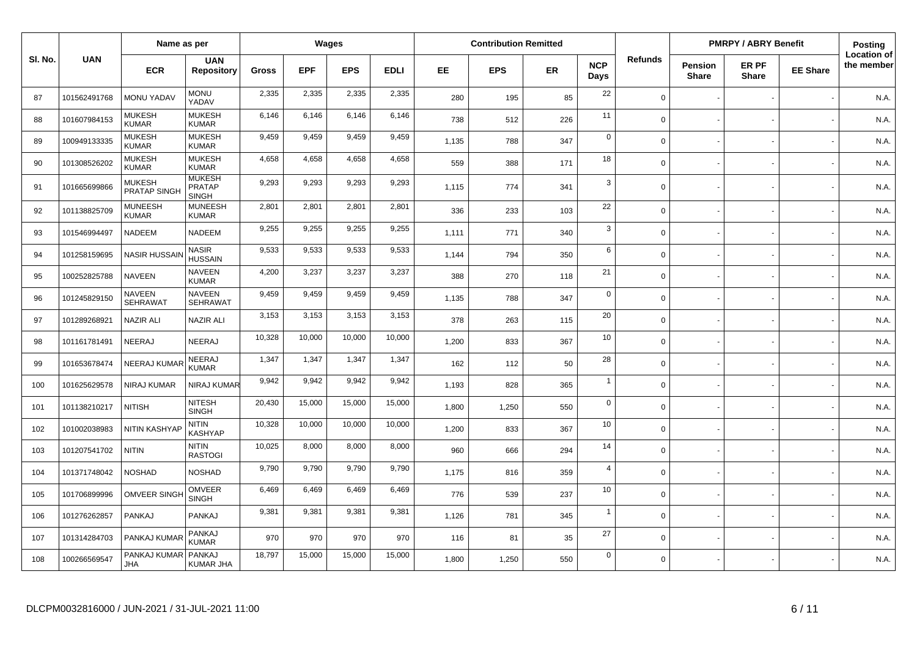|         |              | Name as per                    |                                                |              |            | Wages      |             |       | <b>Contribution Remitted</b> |           |                    |                |                         | <b>PMRPY / ABRY Benefit</b> |                 | <b>Posting</b>                   |
|---------|--------------|--------------------------------|------------------------------------------------|--------------|------------|------------|-------------|-------|------------------------------|-----------|--------------------|----------------|-------------------------|-----------------------------|-----------------|----------------------------------|
| SI. No. | <b>UAN</b>   | <b>ECR</b>                     | <b>UAN</b><br><b>Repository</b>                | <b>Gross</b> | <b>EPF</b> | <b>EPS</b> | <b>EDLI</b> | EE    | <b>EPS</b>                   | <b>ER</b> | <b>NCP</b><br>Days | <b>Refunds</b> | Pension<br><b>Share</b> | ER PF<br><b>Share</b>       | <b>EE Share</b> | <b>Location of</b><br>the member |
| 87      | 101562491768 | <b>MONU YADAV</b>              | <b>MONU</b><br>YADAV                           | 2,335        | 2,335      | 2,335      | 2,335       | 280   | 195                          | 85        | 22                 | $\Omega$       |                         |                             |                 | N.A.                             |
| 88      | 101607984153 | <b>MUKESH</b><br><b>KUMAR</b>  | <b>MUKESH</b><br><b>KUMAR</b>                  | 6,146        | 6,146      | 6,146      | 6,146       | 738   | 512                          | 226       | 11                 | $\Omega$       |                         |                             |                 | N.A.                             |
| 89      | 100949133335 | <b>MUKESH</b><br><b>KUMAR</b>  | <b>MUKESH</b><br><b>KUMAR</b>                  | 9,459        | 9,459      | 9,459      | 9,459       | 1,135 | 788                          | 347       | $\mathbf 0$        | $\Omega$       |                         |                             |                 | N.A.                             |
| 90      | 101308526202 | <b>MUKESH</b><br><b>KUMAR</b>  | <b>MUKESH</b><br><b>KUMAR</b>                  | 4,658        | 4,658      | 4,658      | 4,658       | 559   | 388                          | 171       | 18                 | $\Omega$       |                         |                             |                 | N.A.                             |
| 91      | 101665699866 | MUKESH<br>PRATAP SINGH         | <b>MUKESH</b><br><b>PRATAP</b><br><b>SINGH</b> | 9,293        | 9,293      | 9,293      | 9,293       | 1,115 | 774                          | 341       | 3                  | $\mathbf 0$    |                         |                             |                 | N.A.                             |
| 92      | 101138825709 | <b>MUNEESH</b><br><b>KUMAR</b> | <b>MUNEESH</b><br><b>KUMAR</b>                 | 2,801        | 2,801      | 2,801      | 2,801       | 336   | 233                          | 103       | 22                 | $\Omega$       |                         |                             |                 | N.A.                             |
| 93      | 101546994497 | NADEEM                         | NADEEM                                         | 9,255        | 9,255      | 9,255      | 9,255       | 1.111 | 771                          | 340       | 3                  | $\Omega$       |                         |                             |                 | N.A.                             |
| 94      | 101258159695 | <b>NASIR HUSSAI</b>            | NASIR<br><b>HUSSAIN</b>                        | 9,533        | 9,533      | 9,533      | 9,533       | 1,144 | 794                          | 350       | 6                  | $\Omega$       |                         |                             |                 | N.A.                             |
| 95      | 100252825788 | NAVEEN                         | <b>NAVEEN</b><br><b>KUMAR</b>                  | 4,200        | 3,237      | 3,237      | 3,237       | 388   | 270                          | 118       | 21                 | $\Omega$       |                         |                             |                 | N.A.                             |
| 96      | 101245829150 | NAVEEN<br><b>SEHRAWAT</b>      | <b>NAVEEN</b><br><b>SEHRAWAT</b>               | 9,459        | 9.459      | 9,459      | 9,459       | 1,135 | 788                          | 347       | $\mathbf 0$        | $\Omega$       |                         |                             |                 | N.A.                             |
| 97      | 101289268921 | <b>NAZIR ALI</b>               | <b>NAZIR ALI</b>                               | 3,153        | 3,153      | 3,153      | 3,153       | 378   | 263                          | 115       | 20                 | $\mathbf 0$    |                         |                             |                 | N.A.                             |
| 98      | 101161781491 | NEERAJ                         | NEERAJ                                         | 10,328       | 10,000     | 10,000     | 10,000      | 1,200 | 833                          | 367       | 10                 | $\mathbf 0$    |                         |                             |                 | N.A.                             |
| 99      | 101653678474 | <b>NEERAJ KUMAR</b>            | NEERAJ<br><b>KUMAR</b>                         | 1,347        | 1,347      | 1,347      | 1,347       | 162   | 112                          | 50        | 28                 | $\mathbf 0$    |                         |                             |                 | N.A.                             |
| 100     | 101625629578 | <b>NIRAJ KUMAR</b>             | NIRAJ KUMAR                                    | 9,942        | 9,942      | 9,942      | 9,942       | 1,193 | 828                          | 365       | $\overline{1}$     | $\mathbf 0$    |                         |                             |                 | N.A.                             |
| 101     | 101138210217 | <b>NITISH</b>                  | <b>NITESH</b><br><b>SINGH</b>                  | 20,430       | 15,000     | 15,000     | 15,000      | 1,800 | 1,250                        | 550       | $\mathbf 0$        | $\mathbf 0$    |                         |                             |                 | N.A.                             |
| 102     | 101002038983 | <b>NITIN KASHYAF</b>           | <b>NITIN</b><br>KASHYAP                        | 10,328       | 10,000     | 10,000     | 10,000      | 1,200 | 833                          | 367       | 10                 | $\mathbf 0$    |                         |                             |                 | N.A.                             |
| 103     | 101207541702 | <b>NITIN</b>                   | <b>NITIN</b><br><b>RASTOGI</b>                 | 10,025       | 8,000      | 8,000      | 8,000       | 960   | 666                          | 294       | 14                 | $\Omega$       |                         |                             |                 | N.A.                             |
| 104     | 101371748042 | <b>NOSHAD</b>                  | <b>NOSHAD</b>                                  | 9,790        | 9,790      | 9,790      | 9,790       | 1,175 | 816                          | 359       | $\overline{4}$     | $\Omega$       |                         |                             |                 | N.A.                             |
| 105     | 101706899996 | <b>OMVEER SINGH</b>            | <b>OMVEER</b><br><b>SINGH</b>                  | 6,469        | 6,469      | 6,469      | 6,469       | 776   | 539                          | 237       | 10                 | $\Omega$       |                         |                             |                 | N.A.                             |
| 106     | 101276262857 | PANKAJ                         | PANKAJ                                         | 9,381        | 9,381      | 9,381      | 9,381       | 1,126 | 781                          | 345       | $\overline{1}$     | $\Omega$       |                         |                             |                 | N.A.                             |
| 107     | 101314284703 | PANKAJ KUMAF                   | PANKAJ<br><b>KUMAR</b>                         | 970          | 970        | 970        | 970         | 116   | 81                           | 35        | 27                 | $\Omega$       |                         |                             |                 | N.A.                             |
| 108     | 100266569547 | PANKAJ KUMAR<br><b>JHA</b>     | <b>PANKAJ</b><br><b>KUMAR JHA</b>              | 18,797       | 15,000     | 15,000     | 15,000      | 1.800 | 1,250                        | 550       | $\mathbf 0$        | $\Omega$       |                         |                             |                 | N.A.                             |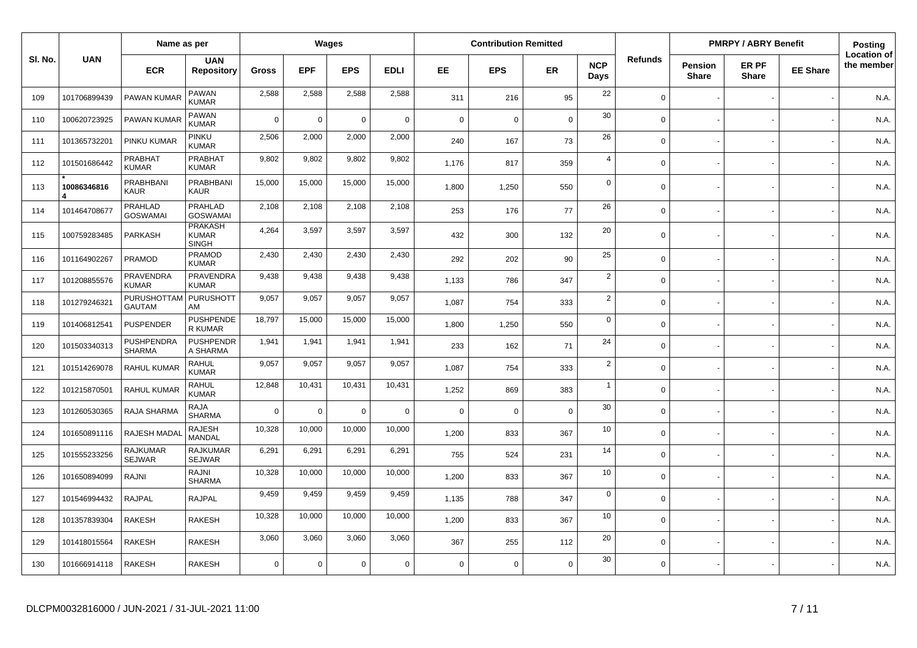|         |              | Name as per                      |                                                |              |             | Wages          |             |             | <b>Contribution Remitted</b> |             |                    |                |                                | <b>PMRPY / ABRY Benefit</b> |                 | Posting                          |
|---------|--------------|----------------------------------|------------------------------------------------|--------------|-------------|----------------|-------------|-------------|------------------------------|-------------|--------------------|----------------|--------------------------------|-----------------------------|-----------------|----------------------------------|
| SI. No. | <b>UAN</b>   | <b>ECR</b>                       | <b>UAN</b><br><b>Repository</b>                | <b>Gross</b> | <b>EPF</b>  | <b>EPS</b>     | <b>EDLI</b> | EE.         | <b>EPS</b>                   | ER          | <b>NCP</b><br>Days | <b>Refunds</b> | <b>Pension</b><br><b>Share</b> | ER PF<br><b>Share</b>       | <b>EE Share</b> | <b>Location of</b><br>the member |
| 109     | 101706899439 | PAWAN KUMAR                      | PAWAN<br>KUMAR                                 | 2,588        | 2,588       | 2,588          | 2,588       | 311         | 216                          | 95          | 22                 | $\Omega$       |                                |                             |                 | N.A.                             |
| 110     | 100620723925 | PAWAN KUMAR                      | <b>PAWAN</b><br><b>KUMAR</b>                   | $\Omega$     | $\Omega$    | $\overline{0}$ | $\mathbf 0$ | $\mathbf 0$ | $\mathbf 0$                  | $\mathbf 0$ | 30                 | $\Omega$       |                                |                             |                 | N.A.                             |
| 111     | 101365732201 | PINKU KUMAR                      | PINKU<br><b>KUMAR</b>                          | 2,506        | 2,000       | 2,000          | 2,000       | 240         | 167                          | 73          | 26                 | $\Omega$       |                                |                             |                 | N.A.                             |
| 112     | 101501686442 | PRABHAT<br><b>KUMAR</b>          | <b>PRABHAT</b><br><b>KUMAR</b>                 | 9,802        | 9,802       | 9,802          | 9,802       | 1.176       | 817                          | 359         | $\overline{4}$     | $\Omega$       |                                |                             |                 | N.A.                             |
| 113     | 10086346816  | PRABHBANI<br><b>KAUR</b>         | <b>PRABHBANI</b><br><b>KAUR</b>                | 15,000       | 15,000      | 15,000         | 15,000      | 1,800       | 1,250                        | 550         | $\mathbf 0$        | $\Omega$       |                                |                             |                 | N.A.                             |
| 114     | 101464708677 | PRAHLAD<br><b>GOSWAMAI</b>       | PRAHLAD<br><b>GOSWAMAI</b>                     | 2,108        | 2,108       | 2,108          | 2,108       | 253         | 176                          | 77          | 26                 | $\Omega$       |                                |                             |                 | N.A.                             |
| 115     | 100759283485 | <b>PARKASH</b>                   | <b>PRAKASH</b><br><b>KUMAR</b><br><b>SINGH</b> | 4,264        | 3,597       | 3,597          | 3,597       | 432         | 300                          | 132         | 20                 | $\Omega$       |                                |                             |                 | N.A.                             |
| 116     | 101164902267 | PRAMOD                           | PRAMOD<br><b>KUMAR</b>                         | 2,430        | 2,430       | 2,430          | 2,430       | 292         | 202                          | 90          | 25                 | $\mathbf 0$    |                                |                             |                 | N.A.                             |
| 117     | 101208855576 | <b>PRAVENDRA</b><br><b>KUMAR</b> | <b>PRAVENDRA</b><br><b>KUMAR</b>               | 9,438        | 9,438       | 9,438          | 9,438       | 1,133       | 786                          | 347         | $\overline{2}$     | $\Omega$       |                                |                             |                 | N.A.                             |
| 118     | 101279246321 | PURUSHOTTAM<br><b>GAUTAM</b>     | <b>PURUSHOTT</b><br>AM                         | 9,057        | 9,057       | 9,057          | 9,057       | 1,087       | 754                          | 333         | $\overline{2}$     | $\mathbf 0$    |                                |                             |                 | N.A.                             |
| 119     | 101406812541 | <b>PUSPENDER</b>                 | <b>PUSHPENDE</b><br>R KUMAR                    | 18,797       | 15,000      | 15,000         | 15,000      | 1.800       | 1,250                        | 550         | $\mathbf 0$        | $\Omega$       |                                |                             |                 | N.A.                             |
| 120     | 101503340313 | PUSHPENDRA<br><b>SHARMA</b>      | <b>PUSHPENDR</b><br>A SHARMA                   | 1,941        | 1,941       | 1,941          | 1,941       | 233         | 162                          | 71          | 24                 | $\Omega$       |                                |                             |                 | N.A.                             |
| 121     | 101514269078 | <b>RAHUL KUMAR</b>               | <b>RAHUL</b><br><b>KUMAR</b>                   | 9,057        | 9,057       | 9,057          | 9,057       | 1,087       | 754                          | 333         | $\overline{2}$     | $\Omega$       |                                |                             |                 | N.A.                             |
| 122     | 101215870501 | <b>RAHUL KUMAR</b>               | <b>RAHUL</b><br>KUMAR                          | 12,848       | 10,431      | 10,431         | 10,431      | 1,252       | 869                          | 383         | $\overline{1}$     | $\Omega$       |                                |                             |                 | N.A.                             |
| 123     | 101260530365 | RAJA SHARMA                      | RAJA<br><b>SHARMA</b>                          | $\mathbf 0$  | $\mathbf 0$ | $\overline{0}$ | $\mathsf 0$ | $\mathbf 0$ | $\mathbf 0$                  | $\mathbf 0$ | 30                 | $\mathbf 0$    |                                |                             |                 | N.A.                             |
| 124     | 101650891116 | RAJESH MADA                      | <b>RAJESH</b><br><b>MANDAL</b>                 | 10,328       | 10,000      | 10,000         | 10,000      | 1,200       | 833                          | 367         | 10                 | $\mathbf 0$    |                                |                             |                 | N.A.                             |
| 125     | 101555233256 | <b>RAJKUMAR</b><br><b>SEJWAR</b> | <b>RAJKUMAR</b><br><b>SEJWAR</b>               | 6,291        | 6,291       | 6,291          | 6,291       | 755         | 524                          | 231         | 14                 | $\Omega$       |                                |                             |                 | N.A.                             |
| 126     | 101650894099 | RAJNI                            | RAJNI<br><b>SHARMA</b>                         | 10,328       | 10,000      | 10,000         | 10,000      | 1,200       | 833                          | 367         | 10                 | $\mathbf 0$    |                                |                             |                 | N.A.                             |
| 127     | 101546994432 | <b>RAJPAL</b>                    | <b>RAJPAL</b>                                  | 9,459        | 9,459       | 9,459          | 9,459       | 1,135       | 788                          | 347         | $\mathbf 0$        | $\Omega$       |                                |                             |                 | N.A.                             |
| 128     | 101357839304 | <b>RAKESH</b>                    | <b>RAKESH</b>                                  | 10,328       | 10,000      | 10,000         | 10,000      | 1,200       | 833                          | 367         | 10                 | $\mathbf 0$    |                                |                             |                 | N.A.                             |
| 129     | 101418015564 | <b>RAKESH</b>                    | <b>RAKESH</b>                                  | 3,060        | 3,060       | 3,060          | 3,060       | 367         | 255                          | 112         | 20                 | $\Omega$       |                                |                             |                 | N.A.                             |
| 130     | 101666914118 | <b>RAKESH</b>                    | <b>RAKESH</b>                                  | $\Omega$     | 0           | $\Omega$       | $\mathbf 0$ | $\Omega$    | $\mathbf 0$                  | $\mathbf 0$ | 30                 | $\Omega$       |                                |                             |                 | N.A.                             |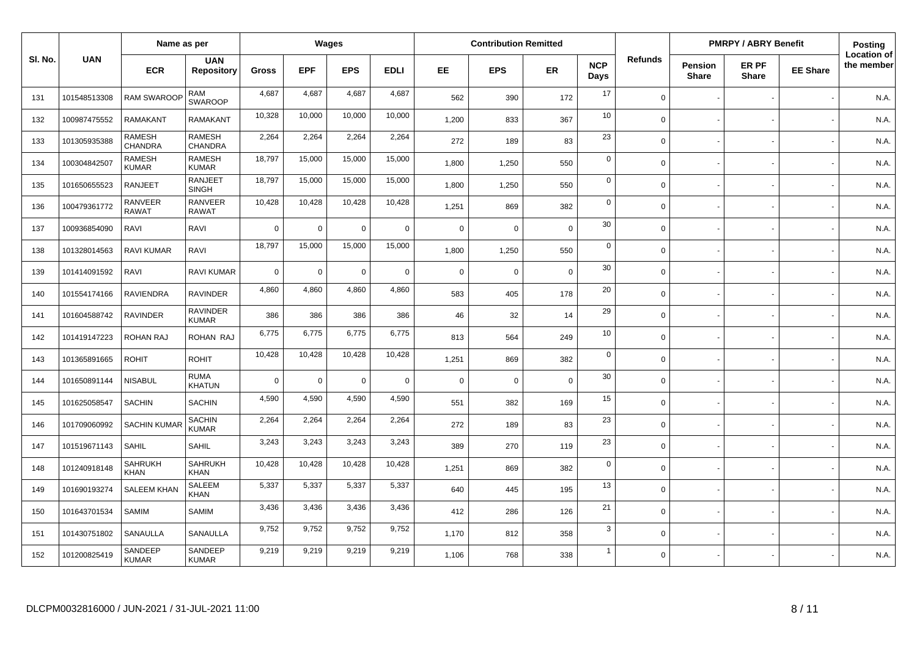|         |              | Name as per                     |                                 |                |             | Wages       |             |             | <b>Contribution Remitted</b> |             |                    |                |                                | <b>PMRPY / ABRY Benefit</b> |                 | Posting                          |
|---------|--------------|---------------------------------|---------------------------------|----------------|-------------|-------------|-------------|-------------|------------------------------|-------------|--------------------|----------------|--------------------------------|-----------------------------|-----------------|----------------------------------|
| SI. No. | <b>UAN</b>   | <b>ECR</b>                      | <b>UAN</b><br><b>Repository</b> | Gross          | <b>EPF</b>  | <b>EPS</b>  | <b>EDLI</b> | EE.         | <b>EPS</b>                   | <b>ER</b>   | <b>NCP</b><br>Days | <b>Refunds</b> | <b>Pension</b><br><b>Share</b> | ER PF<br><b>Share</b>       | <b>EE Share</b> | <b>Location of</b><br>the member |
| 131     | 101548513308 | <b>RAM SWAROOF</b>              | <b>RAM</b><br><b>SWAROOP</b>    | 4,687          | 4,687       | 4,687       | 4,687       | 562         | 390                          | 172         | 17                 | $\mathbf 0$    |                                |                             |                 | N.A.                             |
| 132     | 100987475552 | <b>RAMAKANT</b>                 | <b>RAMAKANT</b>                 | 10,328         | 10,000      | 10,000      | 10,000      | 1,200       | 833                          | 367         | 10                 | $\mathbf 0$    |                                |                             |                 | N.A.                             |
| 133     | 101305935388 | <b>RAMESH</b><br><b>CHANDRA</b> | <b>RAMESH</b><br>CHANDRA        | 2,264          | 2,264       | 2,264       | 2,264       | 272         | 189                          | 83          | 23                 | $\mathbf 0$    |                                |                             |                 | N.A.                             |
| 134     | 100304842507 | <b>RAMESH</b><br><b>KUMAR</b>   | <b>RAMESH</b><br><b>KUMAR</b>   | 18,797         | 15,000      | 15,000      | 15,000      | 1,800       | 1,250                        | 550         | $\mathbf 0$        | $\mathbf 0$    |                                |                             |                 | N.A.                             |
| 135     | 101650655523 | <b>RANJEET</b>                  | <b>RANJEET</b><br><b>SINGH</b>  | 18,797         | 15,000      | 15,000      | 15,000      | 1,800       | 1,250                        | 550         | $\mathbf 0$        | $\Omega$       |                                |                             |                 | N.A.                             |
| 136     | 100479361772 | <b>RANVEER</b><br><b>RAWAT</b>  | <b>RANVEER</b><br><b>RAWAT</b>  | 10,428         | 10,428      | 10,428      | 10,428      | 1,251       | 869                          | 382         | $\mathbf 0$        | $\Omega$       |                                |                             |                 | N.A.                             |
| 137     | 100936854090 | RAVI                            | <b>RAVI</b>                     | $\overline{0}$ | $\mathsf 0$ | $\mathbf 0$ | $\mathbf 0$ | $\mathsf 0$ | $\Omega$                     | $\mathbf 0$ | 30                 | $\mathbf 0$    |                                |                             |                 | N.A.                             |
| 138     | 101328014563 | <b>RAVI KUMAR</b>               | RAVI                            | 18,797         | 15,000      | 15,000      | 15,000      | 1,800       | 1,250                        | 550         | $\mathsf 0$        | $\mathbf 0$    |                                |                             |                 | N.A.                             |
| 139     | 101414091592 | RAVI                            | <b>RAVI KUMAR</b>               | $\overline{0}$ | $\mathbf 0$ | $\mathbf 0$ | $\mathbf 0$ | $\mathbf 0$ | $\Omega$                     | $\Omega$    | 30                 | $\mathbf 0$    |                                |                             |                 | N.A.                             |
| 140     | 101554174166 | <b>RAVIENDRA</b>                | <b>RAVINDER</b>                 | 4,860          | 4,860       | 4,860       | 4,860       | 583         | 405                          | 178         | 20                 | $\mathbf 0$    |                                |                             |                 | N.A.                             |
| 141     | 101604588742 | <b>RAVINDER</b>                 | <b>RAVINDER</b><br><b>KUMAR</b> | 386            | 386         | 386         | 386         | 46          | 32                           | 14          | 29                 | $\mathbf 0$    |                                |                             |                 | N.A.                             |
| 142     | 101419147223 | <b>ROHAN RAJ</b>                | ROHAN RAJ                       | 6,775          | 6,775       | 6,775       | 6,775       | 813         | 564                          | 249         | 10                 | $\Omega$       |                                |                             |                 | N.A.                             |
| 143     | 101365891665 | <b>ROHIT</b>                    | <b>ROHIT</b>                    | 10,428         | 10,428      | 10,428      | 10,428      | 1,251       | 869                          | 382         | $\mathbf 0$        | $\mathbf 0$    |                                |                             |                 | N.A.                             |
| 144     | 101650891144 | <b>NISABUL</b>                  | <b>RUMA</b><br><b>KHATUN</b>    | $\overline{0}$ | $\mathbf 0$ | $\mathbf 0$ | $\mathbf 0$ | $\mathsf 0$ | $\overline{0}$               | $\mathbf 0$ | 30                 | $\mathbf 0$    |                                |                             |                 | N.A.                             |
| 145     | 101625058547 | <b>SACHIN</b>                   | <b>SACHIN</b>                   | 4,590          | 4,590       | 4,590       | 4,590       | 551         | 382                          | 169         | 15                 | $\Omega$       |                                |                             |                 | N.A.                             |
| 146     | 101709060992 | <b>SACHIN KUMAR</b>             | <b>SACHIN</b><br><b>KUMAR</b>   | 2,264          | 2,264       | 2,264       | 2,264       | 272         | 189                          | 83          | 23                 | $\mathbf 0$    |                                |                             |                 | N.A.                             |
| 147     | 101519671143 | <b>SAHIL</b>                    | <b>SAHIL</b>                    | 3,243          | 3,243       | 3,243       | 3,243       | 389         | 270                          | 119         | 23                 | $\mathbf 0$    |                                |                             |                 | N.A.                             |
| 148     | 101240918148 | <b>SAHRUKH</b><br><b>KHAN</b>   | SAHRUKH<br><b>KHAN</b>          | 10,428         | 10,428      | 10,428      | 10,428      | 1,251       | 869                          | 382         | $\mathbf 0$        | $\mathbf 0$    |                                |                             |                 | N.A.                             |
| 149     | 101690193274 | <b>SALEEM KHAN</b>              | <b>SALEEM</b><br><b>KHAN</b>    | 5,337          | 5,337       | 5,337       | 5,337       | 640         | 445                          | 195         | 13                 | $\mathbf 0$    |                                |                             |                 | N.A                              |
| 150     | 101643701534 | SAMIM                           | SAMIM                           | 3,436          | 3,436       | 3,436       | 3,436       | 412         | 286                          | 126         | 21                 | $\mathbf 0$    |                                |                             |                 | N.A.                             |
| 151     | 101430751802 | SANAULLA                        | SANAULLA                        | 9,752          | 9,752       | 9,752       | 9,752       | 1,170       | 812                          | 358         | 3                  | $\mathbf 0$    |                                |                             |                 | N.A.                             |
| 152     | 101200825419 | SANDEEP<br><b>KUMAR</b>         | SANDEEP<br><b>KUMAR</b>         | 9,219          | 9,219       | 9,219       | 9,219       | 1.106       | 768                          | 338         | $\mathbf{1}$       | $\Omega$       |                                |                             |                 | N.A.                             |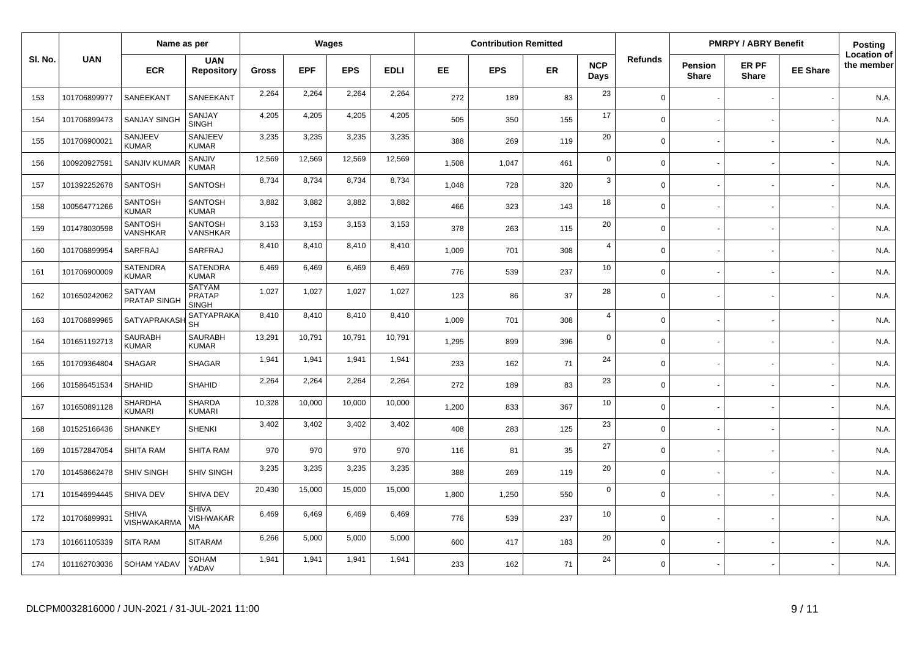|         |              | Name as per                     |                                                |              |            | Wages      |             |       | <b>Contribution Remitted</b> |     |                    |                |                                | <b>PMRPY / ABRY Benefit</b> |                 | Posting                          |
|---------|--------------|---------------------------------|------------------------------------------------|--------------|------------|------------|-------------|-------|------------------------------|-----|--------------------|----------------|--------------------------------|-----------------------------|-----------------|----------------------------------|
| SI. No. | <b>UAN</b>   | <b>ECR</b>                      | <b>UAN</b><br><b>Repository</b>                | <b>Gross</b> | <b>EPF</b> | <b>EPS</b> | <b>EDLI</b> | EE    | <b>EPS</b>                   | ER  | <b>NCP</b><br>Days | <b>Refunds</b> | <b>Pension</b><br><b>Share</b> | ER PF<br><b>Share</b>       | <b>EE Share</b> | <b>Location of</b><br>the member |
| 153     | 101706899977 | SANEEKANT                       | SANEEKANT                                      | 2,264        | 2,264      | 2,264      | 2,264       | 272   | 189                          | 83  | 23                 | $\Omega$       |                                |                             |                 | N.A.                             |
| 154     | 101706899473 | <b>SANJAY SINGH</b>             | SANJAY<br><b>SINGH</b>                         | 4,205        | 4,205      | 4,205      | 4,205       | 505   | 350                          | 155 | 17                 | $\Omega$       |                                |                             |                 | N.A.                             |
| 155     | 101706900021 | SANJEEV<br><b>KUMAR</b>         | SANJEEV<br><b>KUMAR</b>                        | 3,235        | 3,235      | 3,235      | 3,235       | 388   | 269                          | 119 | 20                 | $\Omega$       |                                |                             |                 | N.A.                             |
| 156     | 100920927591 | SANJIV KUMAR                    | SANJIV<br><b>KUMAR</b>                         | 12,569       | 12,569     | 12,569     | 12,569      | 1,508 | 1,047                        | 461 | $\mathbf 0$        | $\Omega$       |                                |                             |                 | N.A.                             |
| 157     | 101392252678 | <b>SANTOSH</b>                  | <b>SANTOSH</b>                                 | 8,734        | 8,734      | 8,734      | 8,734       | 1,048 | 728                          | 320 | 3                  | $\Omega$       |                                |                             |                 | N.A.                             |
| 158     | 100564771266 | <b>SANTOSH</b><br><b>KUMAR</b>  | <b>SANTOSH</b><br><b>KUMAR</b>                 | 3,882        | 3,882      | 3,882      | 3,882       | 466   | 323                          | 143 | 18                 | $\Omega$       |                                |                             |                 | N.A.                             |
| 159     | 101478030598 | <b>SANTOSH</b><br>VANSHKAR      | <b>SANTOSH</b><br><b>VANSHKAR</b>              | 3,153        | 3,153      | 3,153      | 3,153       | 378   | 263                          | 115 | 20                 | $\Omega$       |                                |                             |                 | N.A.                             |
| 160     | 101706899954 | SARFRAJ                         | SARFRAJ                                        | 8,410        | 8,410      | 8,410      | 8,410       | 1,009 | 701                          | 308 | $\overline{4}$     | $\Omega$       |                                |                             |                 | N.A.                             |
| 161     | 101706900009 | SATENDRA<br><b>KUMAR</b>        | <b>SATENDRA</b><br><b>KUMAR</b>                | 6,469        | 6,469      | 6,469      | 6,469       | 776   | 539                          | 237 | 10                 | $\mathbf 0$    |                                |                             |                 | N.A.                             |
| 162     | 101650242062 | <b>SATYAM</b><br>PRATAP SINGH   | <b>SATYAM</b><br><b>PRATAP</b><br><b>SINGH</b> | 1,027        | 1,027      | 1,027      | 1,027       | 123   | 86                           | 37  | 28                 | $\Omega$       |                                |                             |                 | N.A.                             |
| 163     | 101706899965 | <b>SATYAPRAKAS</b>              | <b>SATYAPRAKA</b><br><b>SH</b>                 | 8,410        | 8,410      | 8,410      | 8,410       | 1,009 | 701                          | 308 | $\overline{4}$     | $\Omega$       |                                |                             |                 | N.A.                             |
| 164     | 101651192713 | <b>SAURABH</b><br><b>KUMAR</b>  | <b>SAURABH</b><br><b>KUMAR</b>                 | 13,291       | 10,791     | 10,791     | 10,791      | 1,295 | 899                          | 396 | $\mathbf 0$        | $\Omega$       |                                |                             |                 | N.A.                             |
| 165     | 101709364804 | <b>SHAGAR</b>                   | <b>SHAGAR</b>                                  | 1,941        | 1,941      | 1,941      | 1,941       | 233   | 162                          | 71  | 24                 | $\Omega$       |                                |                             |                 | N.A.                             |
| 166     | 101586451534 | SHAHID                          | <b>SHAHID</b>                                  | 2,264        | 2,264      | 2,264      | 2,264       | 272   | 189                          | 83  | 23                 | $\Omega$       |                                |                             |                 | N.A.                             |
| 167     | 101650891128 | <b>SHARDHA</b><br><b>KUMARI</b> | <b>SHARDA</b><br><b>KUMARI</b>                 | 10,328       | 10,000     | 10,000     | 10,000      | 1,200 | 833                          | 367 | 10                 | $\Omega$       |                                |                             |                 | N.A.                             |
| 168     | 101525166436 | <b>SHANKEY</b>                  | <b>SHENKI</b>                                  | 3,402        | 3,402      | 3,402      | 3,402       | 408   | 283                          | 125 | 23                 | $\Omega$       |                                |                             |                 | N.A.                             |
| 169     | 101572847054 | SHITA RAM                       | <b>SHITA RAM</b>                               | 970          | 970        | 970        | 970         | 116   | 81                           | 35  | 27                 | $\Omega$       |                                |                             |                 | N.A.                             |
| 170     | 101458662478 | <b>SHIV SINGH</b>               | SHIV SINGH                                     | 3,235        | 3,235      | 3,235      | 3,235       | 388   | 269                          | 119 | 20                 | $\Omega$       |                                |                             |                 | N.A.                             |
| 171     | 101546994445 | SHIVA DEV                       | SHIVA DEV                                      | 20,430       | 15,000     | 15,000     | 15,000      | 1,800 | 1,250                        | 550 | $\mathbf 0$        | $\mathbf 0$    |                                |                             |                 | N.A.                             |
| 172     | 101706899931 | <b>SHIVA</b><br>VISHWAKARMA     | <b>SHIVA</b><br>VISHWAKAR<br>MA                | 6,469        | 6,469      | 6,469      | 6,469       | 776   | 539                          | 237 | 10                 | $\mathbf 0$    |                                |                             |                 | N.A.                             |
| 173     | 101661105339 | <b>SITA RAM</b>                 | <b>SITARAM</b>                                 | 6,266        | 5,000      | 5,000      | 5,000       | 600   | 417                          | 183 | 20                 | $\Omega$       |                                |                             |                 | N.A.                             |
| 174     | 101162703036 | <b>SOHAM YADAV</b>              | <b>SOHAM</b><br>YADAV                          | 1,941        | 1,941      | 1,941      | 1,941       | 233   | 162                          | 71  | 24                 | $\Omega$       |                                |                             |                 | N.A.                             |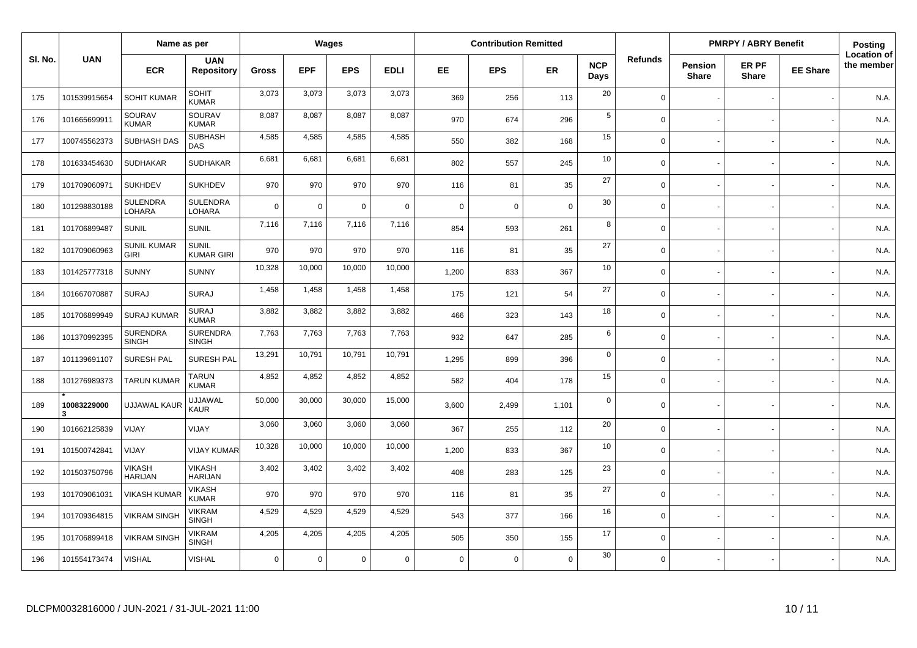|         |                  | Name as per                       |                                  |              |            | Wages          |             |             | <b>Contribution Remitted</b> |             |                    |                |                         | <b>PMRPY / ABRY Benefit</b> |                 | <b>Posting</b>                   |
|---------|------------------|-----------------------------------|----------------------------------|--------------|------------|----------------|-------------|-------------|------------------------------|-------------|--------------------|----------------|-------------------------|-----------------------------|-----------------|----------------------------------|
| SI. No. | <b>UAN</b>       | <b>ECR</b>                        | <b>UAN</b><br><b>Repository</b>  | <b>Gross</b> | <b>EPF</b> | <b>EPS</b>     | <b>EDLI</b> | EE.         | <b>EPS</b>                   | <b>ER</b>   | <b>NCP</b><br>Days | <b>Refunds</b> | Pension<br><b>Share</b> | ER PF<br><b>Share</b>       | <b>EE Share</b> | <b>Location of</b><br>the member |
| 175     | 101539915654     | <b>SOHIT KUMAR</b>                | SOHIT<br><b>KUMAR</b>            | 3,073        | 3,073      | 3,073          | 3,073       | 369         | 256                          | 113         | 20                 | $\Omega$       |                         |                             |                 | N.A.                             |
| 176     | 101665699911     | SOURAV<br><b>KUMAR</b>            | SOURAV<br><b>KUMAR</b>           | 8.087        | 8.087      | 8,087          | 8,087       | 970         | 674                          | 296         | 5                  | $\Omega$       |                         |                             |                 | N.A.                             |
| 177     | 100745562373     | SUBHASH DAS                       | <b>SUBHASH</b><br>DAS            | 4,585        | 4,585      | 4,585          | 4,585       | 550         | 382                          | 168         | 15                 | $\Omega$       |                         |                             |                 | N.A.                             |
| 178     | 101633454630     | <b>SUDHAKAR</b>                   | <b>SUDHAKAR</b>                  | 6,681        | 6,681      | 6,681          | 6,681       | 802         | 557                          | 245         | 10                 | $\Omega$       |                         |                             |                 | N.A.                             |
| 179     | 101709060971     | <b>SUKHDEV</b>                    | <b>SUKHDEV</b>                   | 970          | 970        | 970            | 970         | 116         | 81                           | 35          | 27                 | $\Omega$       |                         |                             |                 | N.A.                             |
| 180     | 101298830188     | <b>SULENDRA</b><br>LOHARA         | <b>SULENDRA</b><br><b>LOHARA</b> | $\Omega$     | $\Omega$   | $\Omega$       | $\mathbf 0$ | $\mathbf 0$ | $\mathbf 0$                  | $\mathbf 0$ | 30                 | $\Omega$       |                         |                             |                 | N.A.                             |
| 181     | 101706899487     | <b>SUNIL</b>                      | <b>SUNIL</b>                     | 7,116        | 7,116      | 7,116          | 7,116       | 854         | 593                          | 261         | 8                  | $\Omega$       |                         |                             |                 | N.A.                             |
| 182     | 101709060963     | <b>SUNIL KUMAR</b><br><b>GIRI</b> | SUNIL<br><b>KUMAR GIRI</b>       | 970          | 970        | 970            | 970         | 116         | 81                           | 35          | 27                 | $\Omega$       |                         |                             |                 | N.A.                             |
| 183     | 101425777318     | <b>SUNNY</b>                      | <b>SUNNY</b>                     | 10,328       | 10,000     | 10,000         | 10,000      | 1,200       | 833                          | 367         | 10                 | $\Omega$       |                         |                             |                 | N.A.                             |
| 184     | 101667070887     | <b>SURAJ</b>                      | <b>SURAJ</b>                     | 1,458        | 1,458      | 1,458          | 1,458       | 175         | 121                          | 54          | 27                 | $\Omega$       |                         |                             |                 | N.A.                             |
| 185     | 101706899949     | <b>SURAJ KUMAR</b>                | <b>SURAJ</b><br><b>KUMAR</b>     | 3,882        | 3,882      | 3,882          | 3,882       | 466         | 323                          | 143         | 18                 | $\Omega$       |                         |                             |                 | N.A.                             |
| 186     | 101370992395     | <b>SURENDRA</b><br><b>SINGH</b>   | <b>SURENDRA</b><br><b>SINGH</b>  | 7,763        | 7,763      | 7,763          | 7,763       | 932         | 647                          | 285         | 6                  | $\Omega$       |                         |                             |                 | N.A.                             |
| 187     | 101139691107     | <b>SURESH PAL</b>                 | <b>SURESH PAL</b>                | 13,291       | 10,791     | 10,791         | 10,791      | 1,295       | 899                          | 396         | $\mathbf 0$        | $\Omega$       |                         |                             |                 | N.A.                             |
| 188     | 101276989373     | <b>TARUN KUMAR</b>                | TARUN<br><b>KUMAR</b>            | 4,852        | 4,852      | 4,852          | 4,852       | 582         | 404                          | 178         | 15                 | $\Omega$       |                         |                             |                 | N.A.                             |
| 189     | 10083229000<br>3 | <b>UJJAWAL KAUR</b>               | <b>UJJAWAL</b><br>KAUR           | 50,000       | 30,000     | 30,000         | 15,000      | 3.600       | 2.499                        | 1,101       | $\mathbf 0$        | $\Omega$       |                         |                             |                 | N.A.                             |
| 190     | 101662125839     | VIJAY                             | VIJAY                            | 3,060        | 3,060      | 3,060          | 3,060       | 367         | 255                          | 112         | 20                 | $\Omega$       |                         |                             |                 | N.A.                             |
| 191     | 101500742841     | VIJAY                             | VIJAY KUMAR                      | 10,328       | 10,000     | 10,000         | 10,000      | 1,200       | 833                          | 367         | 10                 | $\Omega$       |                         |                             |                 | N.A.                             |
| 192     | 101503750796     | <b>VIKASH</b><br><b>HARIJAN</b>   | <b>VIKASH</b><br><b>HARIJAN</b>  | 3,402        | 3,402      | 3,402          | 3,402       | 408         | 283                          | 125         | 23                 | $\Omega$       |                         |                             |                 | N.A.                             |
| 193     | 101709061031     | <b>VIKASH KUMAR</b>               | <b>VIKASH</b><br><b>KUMAR</b>    | 970          | 970        | 970            | 970         | 116         | 81                           | 35          | 27                 | $\Omega$       |                         |                             |                 | N.A.                             |
| 194     | 101709364815     | <b>VIKRAM SINGH</b>               | <b>VIKRAM</b><br><b>SINGH</b>    | 4,529        | 4,529      | 4,529          | 4,529       | 543         | 377                          | 166         | 16                 | $\mathbf 0$    |                         |                             |                 | N.A.                             |
| 195     | 101706899418     | <b>VIKRAM SINGH</b>               | <b>VIKRAM</b><br><b>SINGH</b>    | 4,205        | 4,205      | 4,205          | 4,205       | 505         | 350                          | 155         | 17                 | $\Omega$       |                         |                             |                 | N.A.                             |
| 196     | 101554173474     | <b>VISHAL</b>                     | <b>VISHAL</b>                    | $\mathbf 0$  | 0          | $\overline{0}$ | $\mathsf 0$ | $\Omega$    | $\mathbf 0$                  | $\mathbf 0$ | 30                 | $\mathbf 0$    |                         |                             |                 | N.A.                             |